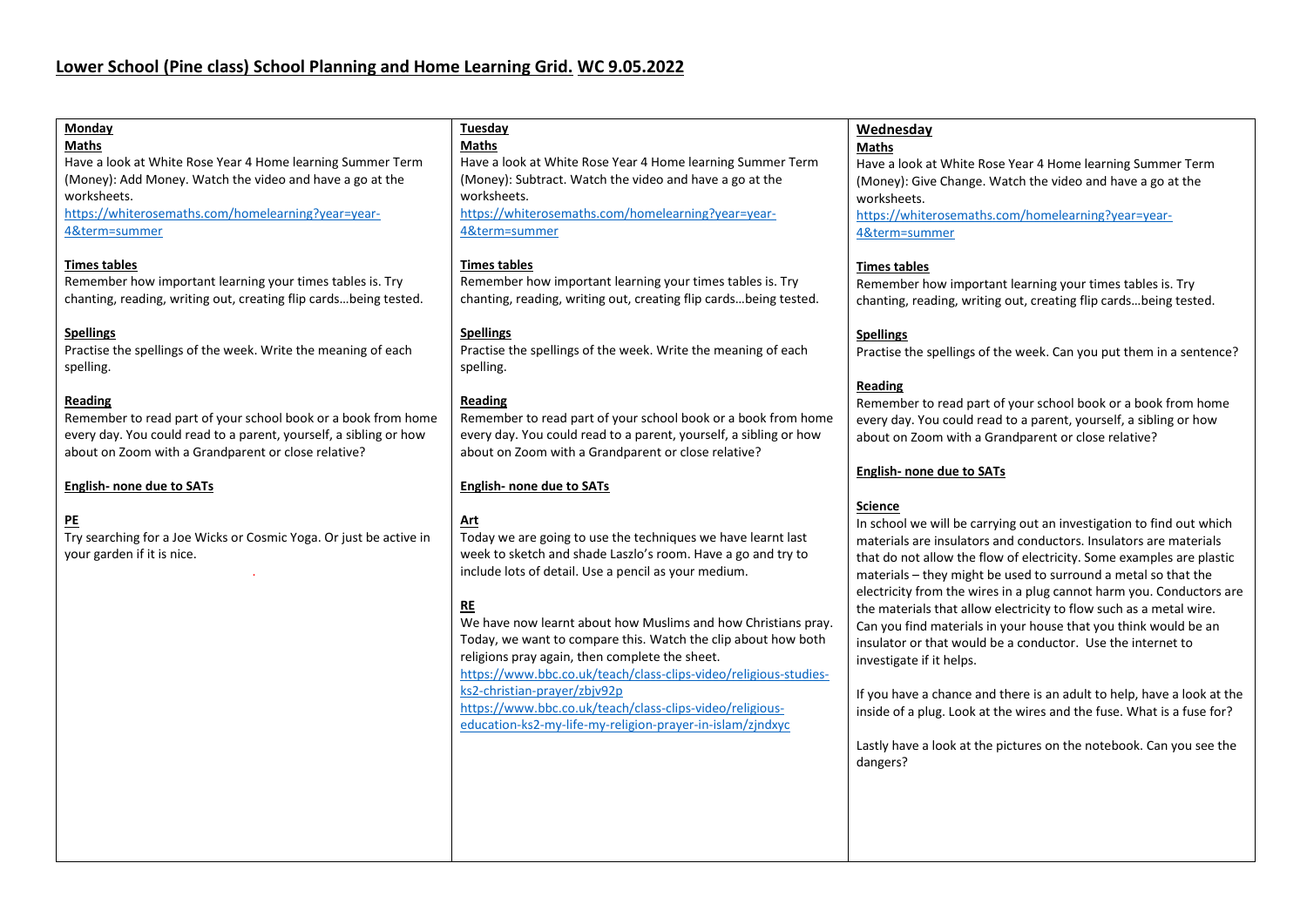| Monday                                                             | <b>Tuesday</b>                                                    | Wednesday                                                              |
|--------------------------------------------------------------------|-------------------------------------------------------------------|------------------------------------------------------------------------|
| Maths                                                              | <b>Maths</b>                                                      | <b>Maths</b>                                                           |
| Have a look at White Rose Year 4 Home learning Summer Term         | Have a look at White Rose Year 4 Home learning Summer Term        | Have a look at White Rose Year 4 Home learning Summer Term             |
| (Money): Add Money. Watch the video and have a go at the           | (Money): Subtract. Watch the video and have a go at the           | (Money): Give Change. Watch the video and have a go at the             |
| worksheets.                                                        | worksheets.                                                       | worksheets.                                                            |
| https://whiterosemaths.com/homelearning?year=year-                 | https://whiterosemaths.com/homelearning?year=year-                | https://whiterosemaths.com/homelearning?year=year-                     |
| 4&term=summer                                                      | 4&term=summer                                                     |                                                                        |
|                                                                    |                                                                   | 4&term=summer                                                          |
|                                                                    |                                                                   |                                                                        |
| <b>Times tables</b>                                                | <b>Times tables</b>                                               | <b>Times tables</b>                                                    |
| Remember how important learning your times tables is. Try          | Remember how important learning your times tables is. Try         | Remember how important learning your times tables is. Try              |
| chanting, reading, writing out, creating flip cardsbeing tested.   | chanting, reading, writing out, creating flip cardsbeing tested.  | chanting, reading, writing out, creating flip cardsbeing tested.       |
|                                                                    |                                                                   |                                                                        |
| <b>Spellings</b>                                                   | <b>Spellings</b>                                                  | <b>Spellings</b>                                                       |
| Practise the spellings of the week. Write the meaning of each      | Practise the spellings of the week. Write the meaning of each     | Practise the spellings of the week. Can you put them in a sentence?    |
| spelling.                                                          | spelling.                                                         |                                                                        |
|                                                                    |                                                                   | <b>Reading</b>                                                         |
| Reading                                                            | <b>Reading</b>                                                    | Remember to read part of your school book or a book from home          |
| Remember to read part of your school book or a book from home      | Remember to read part of your school book or a book from home     | every day. You could read to a parent, yourself, a sibling or how      |
| every day. You could read to a parent, yourself, a sibling or how  | every day. You could read to a parent, yourself, a sibling or how |                                                                        |
|                                                                    |                                                                   | about on Zoom with a Grandparent or close relative?                    |
| about on Zoom with a Grandparent or close relative?                | about on Zoom with a Grandparent or close relative?               |                                                                        |
|                                                                    |                                                                   | <b>English- none due to SATs</b>                                       |
| <b>English- none due to SATs</b>                                   | <b>English- none due to SATs</b>                                  |                                                                        |
|                                                                    |                                                                   | <b>Science</b>                                                         |
| P <sub>E</sub>                                                     | Art                                                               | In school we will be carrying out an investigation to find out which   |
| Try searching for a Joe Wicks or Cosmic Yoga. Or just be active in | Today we are going to use the techniques we have learnt last      | materials are insulators and conductors. Insulators are materials      |
| your garden if it is nice.                                         | week to sketch and shade Laszlo's room. Have a go and try to      | that do not allow the flow of electricity. Some examples are plastic   |
|                                                                    | include lots of detail. Use a pencil as your medium.              | materials - they might be used to surround a metal so that the         |
|                                                                    |                                                                   |                                                                        |
|                                                                    | RE                                                                | electricity from the wires in a plug cannot harm you. Conductors are   |
|                                                                    |                                                                   | the materials that allow electricity to flow such as a metal wire.     |
|                                                                    | We have now learnt about how Muslims and how Christians pray.     | Can you find materials in your house that you think would be an        |
|                                                                    | Today, we want to compare this. Watch the clip about how both     | insulator or that would be a conductor. Use the internet to            |
|                                                                    | religions pray again, then complete the sheet.                    | investigate if it helps.                                               |
|                                                                    | https://www.bbc.co.uk/teach/class-clips-video/religious-studies-  |                                                                        |
|                                                                    | ks2-christian-prayer/zbjv92p                                      | If you have a chance and there is an adult to help, have a look at the |
|                                                                    | https://www.bbc.co.uk/teach/class-clips-video/religious-          | inside of a plug. Look at the wires and the fuse. What is a fuse for?  |
|                                                                    | education-ks2-my-life-my-religion-prayer-in-islam/zjndxyc         |                                                                        |
|                                                                    |                                                                   | Lastly have a look at the pictures on the notebook. Can you see the    |
|                                                                    |                                                                   |                                                                        |
|                                                                    |                                                                   | dangers?                                                               |
|                                                                    |                                                                   |                                                                        |
|                                                                    |                                                                   |                                                                        |
|                                                                    |                                                                   |                                                                        |
|                                                                    |                                                                   |                                                                        |
|                                                                    |                                                                   |                                                                        |